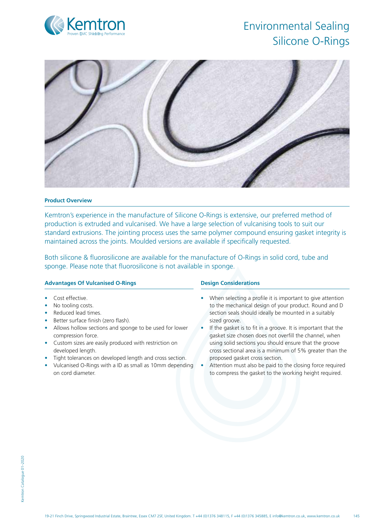# Kemt Proven EMC Shielding Performance

# Environmental Sealing Silicone O-Rings



# **Product Overview**

Kemtron's experience in the manufacture of Silicone O-Rings is extensive, our preferred method of production is extruded and vulcanised. We have a large selection of vulcanising tools to suit our standard extrusions. The jointing process uses the same polymer compound ensuring gasket integrity is maintained across the joints. Moulded versions are available if specifically requested.

Both silicone & fluorosilicone are available for the manufacture of O-Rings in solid cord, tube and sponge. Please note that fluorosilicone is not available in sponge.

# **Advantages Of Vulcanised O-Rings**

- Cost effective.
- No tooling costs.
- Reduced lead times.
- Better surface finish (zero flash).
- Allows hollow sections and sponge to be used for lower compression force.
- Custom sizes are easily produced with restriction on developed length.
- Tight tolerances on developed length and cross section.
- Vulcanised O-Rings with a ID as small as 10mm depending on cord diameter.

# **Design Considerations**

- When selecting a profile it is important to give attention to the mechanical design of your product. Round and D section seals should ideally be mounted in a suitably sized groove.
- If the gasket is to fit in a groove. It is important that the gasket size chosen does not overfill the channel, when using solid sections you should ensure that the groove cross sectional area is a minimum of 5% greater than the proposed gasket cross section.
- Attention must also be paid to the closing force required to compress the gasket to the working height required.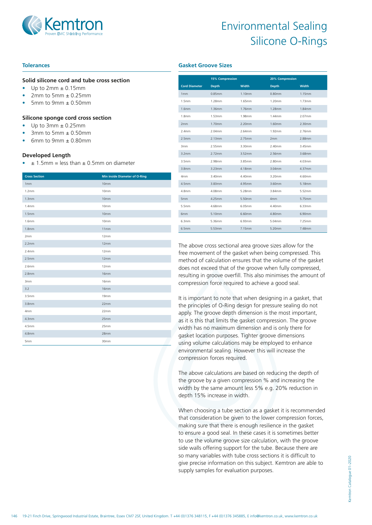

# Environmental Sealing Silicone O-Rings

### **Tolerances**

#### **Solid silicone cord and tube cross section**

- Up to 2mm ± 0.15mm
- 2mm to 5mm  $\pm$  0.25mm
- 5mm to 9mm  $\pm$  0.50mm

#### **Silicone sponge cord cross section**

- Up to  $3mm \pm 0.25mm$
- 3mm to 5mm  $\pm$  0.50mm
- 6mm to 9mm  $\pm$  0.80mm

#### **Developed Length**

 $\div$  ± 1.5mm = less than  $\pm$  0.5mm on diameter

| <b>Cross Section</b> | <b>Min inside Diameter of O-Ring</b> |
|----------------------|--------------------------------------|
| 1mm                  | 10mm                                 |
| 1.2 <sub>mm</sub>    | 10mm                                 |
| 1.3mm                | 10mm                                 |
| 1.4 <sub>mm</sub>    | 10mm                                 |
| 1.5 <sub>mm</sub>    | 10mm                                 |
| 1.6mm                | 10mm                                 |
| 1.8 <sub>mm</sub>    | 11mm                                 |
| 2mm                  | 12mm                                 |
| 2.2mm                | 12mm                                 |
| 2.4 <sub>mm</sub>    | 12mm                                 |
| 2.5 <sub>mm</sub>    | 12mm                                 |
| 2.6mm                | 12mm                                 |
| 2.8 <sub>mm</sub>    | 16mm                                 |
| 3mm                  | 16mm                                 |
| 3.2                  | 16mm                                 |
| 3.5 <sub>mm</sub>    | 19mm                                 |
| 3.8 <sub>mm</sub>    | 22mm                                 |
| 4mm                  | 22mm                                 |
| 4.3mm                | 25mm                                 |
| 4.5mm                | 25mm                                 |
| 4.8mm                | 28mm                                 |
| 5mm                  | 30mm                                 |

|                      | <b>15% Compression</b> |        | 20% Compression |              |
|----------------------|------------------------|--------|-----------------|--------------|
| <b>Cord Diameter</b> | <b>Depth</b>           | Width  | <b>Depth</b>    | <b>Width</b> |
| 1mm                  | 0.85mm                 | 1.10mm | 0.80mm          | 1.15mm       |
| 1.5mm                | 1.28mm                 | 1.65mm | 1.20mm          | 1.73mm       |
| 1.6mm                | 1.36mm                 | 1.76mm | 1.28mm          | 1.84mm       |
| 1.8mm                | 1.53mm                 | 1.98mm | 1.44mm          | 2.07mm       |
| 2mm                  | 1.70mm                 | 2.20mm | 1.60mm          | 2.30mm       |
| 2.4mm                | 2.04mm                 | 2.64mm | 1.92mm          | 2.76mm       |
| 2.5mm                | 2.13mm                 | 2.75mm | 2mm             | 2.88mm       |
| 3mm                  | 2.55mm                 | 3.30mm | 2.40mm          | 3.45mm       |
| 3.2mm                | 2.72mm                 | 3.52mm | 2.56mm          | 3.68mm       |
| 3.5mm                | 2.98mm                 | 3.85mm | 2.80mm          | 4.03mm       |
| 3.8mm                | 3.23mm                 | 4.18mm | $3.04$ mm       | 4.37mm       |
| 4mm                  | 3.40mm                 | 4.40mm | 3.20mm          | 4.60mm       |
| 4.5 <sub>mm</sub>    | 3.83mm                 | 4.95mm | 3.60mm          | 5.18mm       |
| 4.8mm                | 4.08mm                 | 5.28mm | 3.84mm          | 5.52mm       |
| 5mm                  | 4.25mm                 | 5.50mm | 4mm             | 5.75mm       |
| 5.5mm                | 4.68mm                 | 6.05mm | 4.40mm          | 6.33mm       |
| 6mm                  | 5.10mm                 | 6.60mm | 4.80mm          | 6.90mm       |
| 6.3mm                | 5.36mm                 | 6.93mm | 5.04mm          | 7.25mm       |
| 6.5mm                | 5.53mm                 | 7.15mm | 5.20mm          | 7.48mm       |

**Gasket Groove Sizes**

The above cross sectional area groove sizes allow for the free movement of the gasket when being compressed. This method of calculation ensures that the volume of the gasket does not exceed that of the groove when fully compressed, resulting in groove overfill. This also minimises the amount of compression force required to achieve a good seal.

It is important to note that when designing in a gasket, that the principles of O-Ring design for pressure sealing do not apply. The groove depth dimension is the most important, as it is this that limits the gasket compression. The groove width has no maximum dimension and is only there for gasket location purposes. Tighter groove dimensions using volume calculations may be employed to enhance environmental sealing. However this will increase the compression forces required.

The above calculations are based on reducing the depth of the groove by a given compression % and increasing the width by the same amount less 5% e.g. 20% reduction in depth 15% increase in width.

When choosing a tube section as a gasket it is recommended that consideration be given to the lower compression forces, making sure that there is enough resilience in the gasket to ensure a good seal. In these cases it is sometimes better to use the volume groove size calculation, with the groove side walls offering support for the tube. Because there are so many variables with tube cross sections it is difficult to give precise information on this subject. Kemtron are able to supply samples for evaluation purposes.